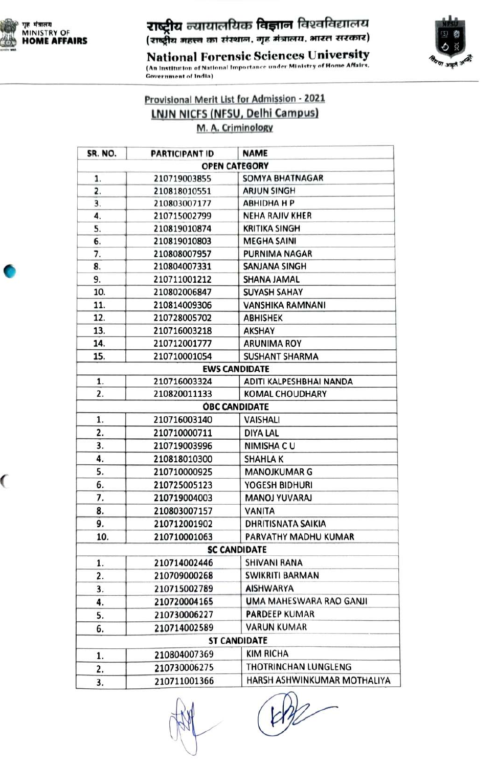

 $\overline{\mathcal{C}}$ 

## ग्<sup>ह मंत्रातय</sup><br>MINISTRY OF **ZTGट्रीय** न्यायालयिक विज्ञान विश्वविद्यालय<br>HOME AFFAIRS (राष्ट्रीय महत्त्व का संस्थान, गृह मंत्रालय, भारत सरकार)



National Forensic Sciences University (An Institution of National Importance under Ministry of Home Affairs, Government of India)

Provisional Merit List for Admission - 2021 LNJN NICFS (NFSU, Delhi Campus) M.A. CriminoloRy

| SR. NO. | <b>PARTICIPANT ID</b> | <b>NAME</b>                 |
|---------|-----------------------|-----------------------------|
|         |                       | <b>OPEN CATEGORY</b>        |
| 1.      | 210719003855          | <b>SOMYA BHATNAGAR</b>      |
| 2.      | 210818010551          | <b>ARJUN SINGH</b>          |
| 3.      | 210803007177          | <b>АВНІДНА Н Р</b>          |
| 4.      | 210715002799          | <b>NEHA RAJIV KHER</b>      |
| 5.      | 210819010874          | <b>KRITIKA SINGH</b>        |
| 6.      | 210819010803          | <b>MEGHA SAINI</b>          |
| 7.      | 210808007957          | <b>PURNIMA NAGAR</b>        |
| 8.      | 210804007331          | SANJANA SINGH               |
| 9.      | 210711001212          | SHANA JAMAL                 |
| 10.     | 210802006847          | <b>SUYASH SAHAY</b>         |
| 11.     | 210814009306          | VANSHIKA RAMNANI            |
| 12.     | 210728005702          | <b>ABHISHEK</b>             |
| 13.     | 210716003218          | <b>AKSHAY</b>               |
| 14.     | 210712001777          | <b>ARUNIMA ROY</b>          |
| 15.     | 210710001054          | <b>SUSHANT SHARMA</b>       |
|         |                       | <b>EWS CANDIDATE</b>        |
| 1.      | 210716003324          | ADITI KALPESHBHAI NANDA     |
| 2.      | 210820011133          | <b>KOMAL CHOUDHARY</b>      |
|         |                       | <b>OBC CANDIDATE</b>        |
| 1.      | 210716003140          | <b>VAISHALI</b>             |
| 2.      | 210710000711          | <b>DIYA LAL</b>             |
| 3.      | 210719003996          | <b>NIMISHA CU</b>           |
| 4.      | 210818010300          | <b>SHAHLAK</b>              |
| 5.      | 210710000925          | <b>MANOJKUMAR G</b>         |
| 6.      | 210725005123          | YOGESH BIDHURI              |
| 7.      | 210719004003          | <b>MANOJ YUVARAJ</b>        |
| 8.      | 210803007157          | <b>VANITA</b>               |
| 9.      | 210712001902          | <b>DHRITISNATA SAIKIA</b>   |
| 10.     | 210710001063          | PARVATHY MADHU KUMAR        |
|         |                       | <b>SC CANDIDATE</b>         |
| 1.      | 210714002446          | <b>SHIVANI RANA</b>         |
| 2.      | 210709000268          | <b>SWIKRITI BARMAN</b>      |
| 3.      | 210715002789          | <b>AISHWARYA</b>            |
| 4.      | 210720004165          | UMA MAHESWARA RAO GANJI     |
| 5.      | 210730006227          | <b>PARDEEP KUMAR</b>        |
| 6.      | 210714002589          | <b>VARUN KUMAR</b>          |
|         |                       | <b>ST CANDIDATE</b>         |
| 1.      | 210804007369          | KIM RICHA                   |
| 2.      | 210730006275          | THOTRINCHAN LUNGLENG        |
| 3.      | 210711001366          | HARSH ASHWINKUMAR MOTHALIYA |

HAR